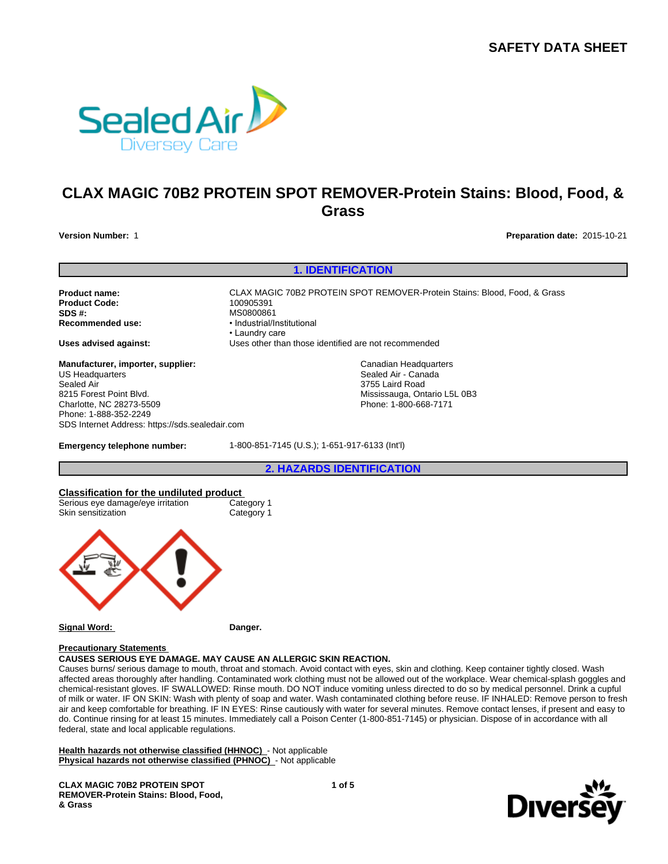**SAFETY DATA SHEET**



# **CLAX MAGIC 70B2 PROTEIN SPOT REMOVER-Protein Stains: Blood, Food, & Grass**

**Version Number:** 1 **Preparation date:** 2015-10-21

**1. IDENTIFICATION**

**Product Code: SDS #:** MS0800861<br> **Recommended use:** Mecommended use:

**Product name:** CLAX MAGIC 70B2 PROTEIN SPOT REMOVER-Protein Stains: Blood, Food, & Grass **Recommended use:** •Industrial/Institutional •Laundrycare **Uses advised against:** Uses other than those identified are not recommended

> Canadian Headquarters Sealed Air - Canada 3755 Laird Road

Mississauga, Ontario L5L 0B3 Phone: 1-800-668-7171

**Manufacturer, importer, supplier:** US Headquarters Sealed Air 8215 Forest Point Blvd. Charlotte, NC 28273-5509 Phone: 1-888-352-2249 SDS Internet Address: https://sds.sealedair.com

**Emergency telephone number:** 1-800-851-7145 (U.S.); 1-651-917-6133 (Int'l)

**2. HAZARDS IDENTIFICATION**



**Signal Word: Danger.**

#### **Precautionary Statements**

# **CAUSES SERIOUS EYE DAMAGE. MAY CAUSE AN ALLERGIC SKIN REACTION.**

Causes burns/ serious damage to mouth, throat and stomach. Avoid contact with eyes, skin and clothing. Keep container tightly closed. Wash affected areas thoroughly after handling. Contaminated work clothing must not be allowed out of the workplace. Wear chemical-splash goggles and chemical-resistant gloves. IF SWALLOWED: Rinse mouth. DO NOT induce vomiting unless directed to do so by medical personnel. Drink a cupful of milk or water. IF ON SKIN: Wash with plenty of soap and water. Wash contaminated clothing before reuse. IF INHALED: Remove person to fresh air and keep comfortable for breathing. IF IN EYES: Rinse cautiously with water for several minutes. Remove contact lenses, if present and easy to do. Continue rinsing for at least 15 minutes. Immediately call a Poison Center (1-800-851-7145) or physician. Dispose of in accordance with all federal, state and local applicable regulations.

**Health hazards not otherwise classified (HHNOC)** - Not applicable **Physical hazards not otherwise classified (PHNOC)** - Not applicable

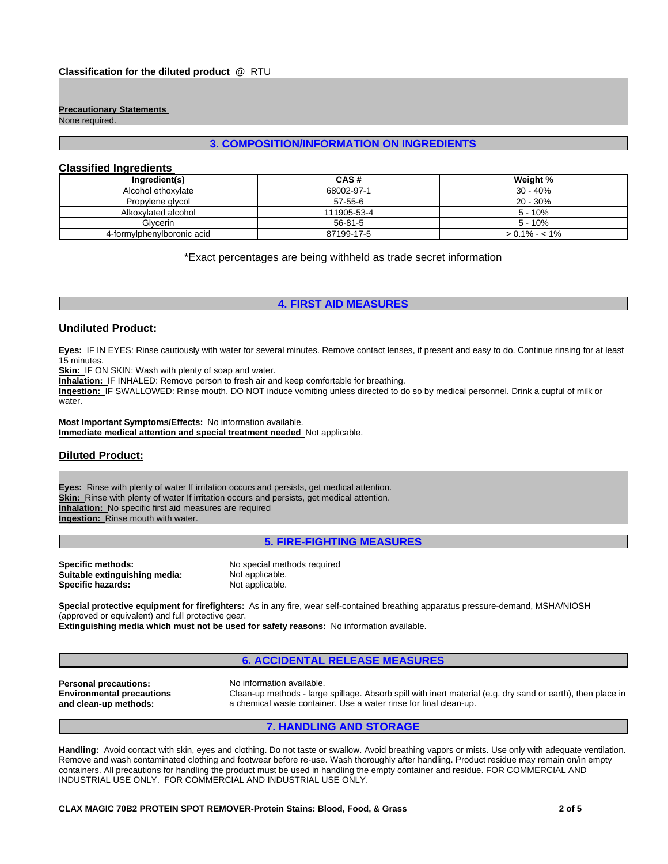# **Precautionary Statements**

None required.

# **3. COMPOSITION/INFORMATION ON INGREDIENTS**

# **Classified Ingredients**

| Ingredient(s)              | CAS#          | Weight %        |
|----------------------------|---------------|-----------------|
| Alcohol ethoxylate         | 68002-97-1    | 30 - 40%        |
| Propylene glycol           | $57 - 55 - 6$ | $20 - 30\%$     |
| Alkoxylated alcohol        | 111905-53-4   | $5 - 10%$       |
| Glvcerin                   | $56 - 81 - 5$ | $5 - 10%$       |
| 4-formylphenylboronic acid | 87199-17-5    | $> 0.1\% - 1\%$ |

\*Exact percentages are being withheld as trade secret information

# **4. FIRST AID MEASURES**

#### **Undiluted Product:**

**Eyes:** IF IN EYES: Rinse cautiously with water for several minutes. Remove contact lenses, if present and easy to do. Continue rinsing for at least 15 minutes.

**Skin:** IF ON SKIN: Wash with plenty of soap and water.

**Inhalation:** IF INHALED: Remove person to fresh air and keep comfortable for breathing.

**Ingestion:** IF SWALLOWED: Rinse mouth. DO NOT induce vomiting unless directed to do so by medical personnel. Drink a cupful of milk or water.

**Most Important Symptoms/Effects:** No information available. **Immediate medical attention and special treatment needed** Not applicable.

# **Diluted Product:**

**Eyes:** Rinse with plenty of water If irritation occurs and persists, get medical attention. **Skin:** Rinse with plenty of water If irritation occurs and persists, get medical attention. **Inhalation:** No specific first aid measures are required **Ingestion:** Rinse mouth with water.

**5. FIRE-FIGHTING MEASURES**

**Specific methods:** No special methods required<br> **Suitable extinguishing media:** Not applicable. **Suitable extinguishing media:** Not applicable.<br> **Specific hazards:** Not applicable. **Specific hazards:** 

**Special protective equipment for firefighters:** As in any fire, wear self-contained breathing apparatus pressure-demand, MSHA/NIOSH (approved or equivalent) and full protective gear.

**Extinguishing media which must not be used for safety reasons:** No information available.

# **6. ACCIDENTAL RELEASE MEASURES**

**Personal precautions:** No information available. **Environmental precautions and clean-up methods:**

Clean-up methods - large spillage. Absorb spill with inert material (e.g. dry sand or earth), then place in a chemical waste container. Use a water rinse for final clean-up.

#### **7. HANDLING AND STORAGE**

**Handling:** Avoid contact with skin, eyes and clothing. Do not taste or swallow. Avoid breathing vapors or mists. Use only with adequate ventilation. Remove and wash contaminated clothing and footwear before re-use. Wash thoroughly after handling. Product residue may remain on/in empty containers. All precautions for handling the product must be used in handling the empty container and residue. FOR COMMERCIAL AND INDUSTRIAL USE ONLY. FOR COMMERCIAL AND INDUSTRIAL USE ONLY.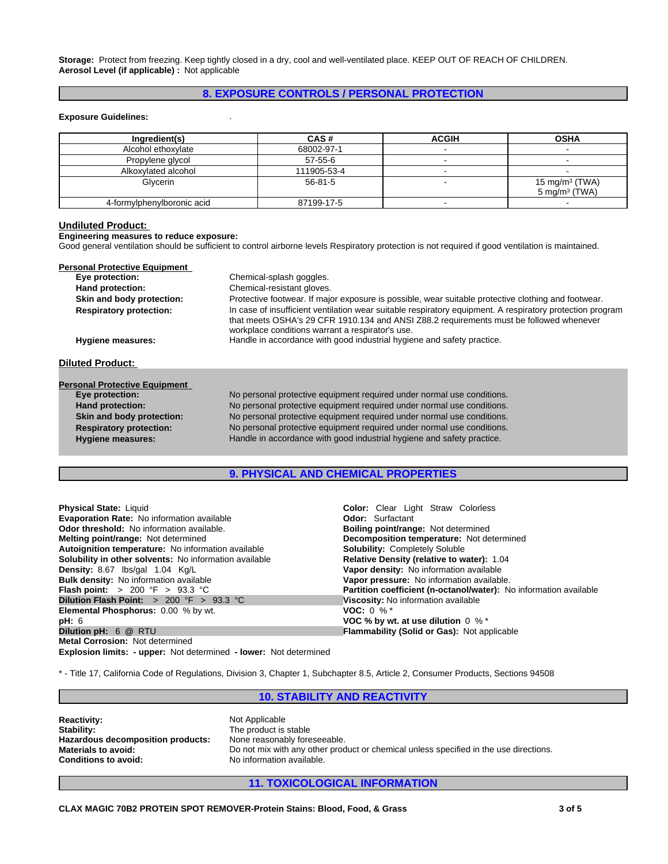**Storage:** Protect from freezing. Keep tightly closed in a dry, cool and well-ventilated place. KEEP OUT OF REACH OF CHILDREN. **Aerosol Level (if applicable) :** Not applicable

# **8. EXPOSURE CONTROLS / PERSONAL PROTECTION**

#### **Exposure Guidelines:** .

| Ingredient(s)              | CAS#          | <b>ACGIH</b> | <b>OSHA</b>              |
|----------------------------|---------------|--------------|--------------------------|
| Alcohol ethoxylate         | 68002-97-1    |              |                          |
| Propylene glycol           | $57 - 55 - 6$ |              |                          |
| Alkoxylated alcohol        | 111905-53-4   |              |                          |
| Glycerin                   | $56 - 81 - 5$ |              | 15 mg/m $3$ (TWA)        |
|                            |               |              | $5 \text{ mg/m}^3$ (TWA) |
| 4-formylphenylboronic acid | 87199-17-5    |              |                          |

#### **Undiluted Product:**

**Engineering measures to reduce exposure:**

Good general ventilation should be sufficient to control airborne levels Respiratory protection is not required if good ventilation is maintained.

| <b>Personal Protective Equipment</b>                                                        |                                                                                                                                                                                                                                                          |  |  |
|---------------------------------------------------------------------------------------------|----------------------------------------------------------------------------------------------------------------------------------------------------------------------------------------------------------------------------------------------------------|--|--|
| Eye protection:                                                                             | Chemical-splash goggles.                                                                                                                                                                                                                                 |  |  |
| Hand protection:                                                                            | Chemical-resistant gloves.                                                                                                                                                                                                                               |  |  |
| Skin and body protection:                                                                   | Protective footwear. If major exposure is possible, wear suitable protective clothing and footwear.                                                                                                                                                      |  |  |
| <b>Respiratory protection:</b>                                                              | In case of insufficient ventilation wear suitable respiratory equipment. A respiratory protection program<br>that meets OSHA's 29 CFR 1910.134 and ANSI Z88.2 requirements must be followed whenever<br>workplace conditions warrant a respirator's use. |  |  |
| Handle in accordance with good industrial hygiene and safety practice.<br>Hygiene measures: |                                                                                                                                                                                                                                                          |  |  |
| <b>Diluted Product:</b>                                                                     |                                                                                                                                                                                                                                                          |  |  |
|                                                                                             |                                                                                                                                                                                                                                                          |  |  |
| <b>Personal Protective Equipment</b>                                                        |                                                                                                                                                                                                                                                          |  |  |
| Eye protection:                                                                             | No personal protective equipment required under normal use conditions.                                                                                                                                                                                   |  |  |
| Hand protection:                                                                            | No personal protective equipment required under normal use conditions.                                                                                                                                                                                   |  |  |
| Skin and body protection:                                                                   | No personal protective equipment required under normal use conditions.                                                                                                                                                                                   |  |  |
| <b>Respiratory protection:</b>                                                              | No personal protective equipment required under normal use conditions.                                                                                                                                                                                   |  |  |
| <b>Hygiene measures:</b>                                                                    | Handle in accordance with good industrial hygiene and safety practice.                                                                                                                                                                                   |  |  |

# **9. PHYSICAL AND CHEMICAL PROPERTIES**

| <b>Physical State: Liquid</b>                                            | <b>Color:</b> Clear Light Straw Colorless                         |
|--------------------------------------------------------------------------|-------------------------------------------------------------------|
| <b>Evaporation Rate:</b> No information available                        | <b>Odor:</b> Surfactant                                           |
| <b>Odor threshold:</b> No information available.                         | <b>Boiling point/range: Not determined</b>                        |
| <b>Melting point/range:</b> Not determined                               | Decomposition temperature: Not determined                         |
| Autoignition temperature: No information available                       | <b>Solubility: Completely Soluble</b>                             |
| <b>Solubility in other solvents:</b> No information available            | Relative Density (relative to water): 1.04                        |
| <b>Density:</b> 8.67 lbs/gal 1.04 Kg/L                                   | Vapor density: No information available                           |
| <b>Bulk density:</b> No information available                            | Vapor pressure: No information available.                         |
| <b>Flash point:</b> $> 200 \, \text{°F} > 93.3 \, \text{°C}$             | Partition coefficient (n-octanol/water): No information available |
| <b>Dilution Flash Point:</b> $> 200$ °F $> 93.3$ °C                      | Viscosity: No information available                               |
| <b>Elemental Phosphorus: 0.00 % by wt.</b>                               | <b>VOC:</b> 0 % $*$                                               |
| pH: 6                                                                    | VOC % by wt. at use dilution $0\%$ *                              |
| Dilution pH: 6 @ RTU                                                     | <b>Flammability (Solid or Gas): Not applicable</b>                |
| <b>Metal Corrosion: Not determined</b>                                   |                                                                   |
| <b>Explosion limits: - upper:</b> Not determined - lower: Not determined |                                                                   |

\* - Title 17, California Code of Regulations, Division 3, Chapter 1, Subchapter 8.5, Article 2, Consumer Products, Sections 94508

# **10. STABILITY AND REACTIVITY**

| <b>Reactivity:</b>                |  |
|-----------------------------------|--|
| Stability:                        |  |
| Hazardous decomposition products: |  |
| <b>Materials to avoid:</b>        |  |
| <b>Conditions to avoid:</b>       |  |

**Not Applicable** The product is stable None reasonably foreseeable. **Materials to avoid:** Do not mix with any other product or chemical unless specified in the use directions. **Conditions to avoid:** No information available.

**11. TOXICOLOGICAL INFORMATION**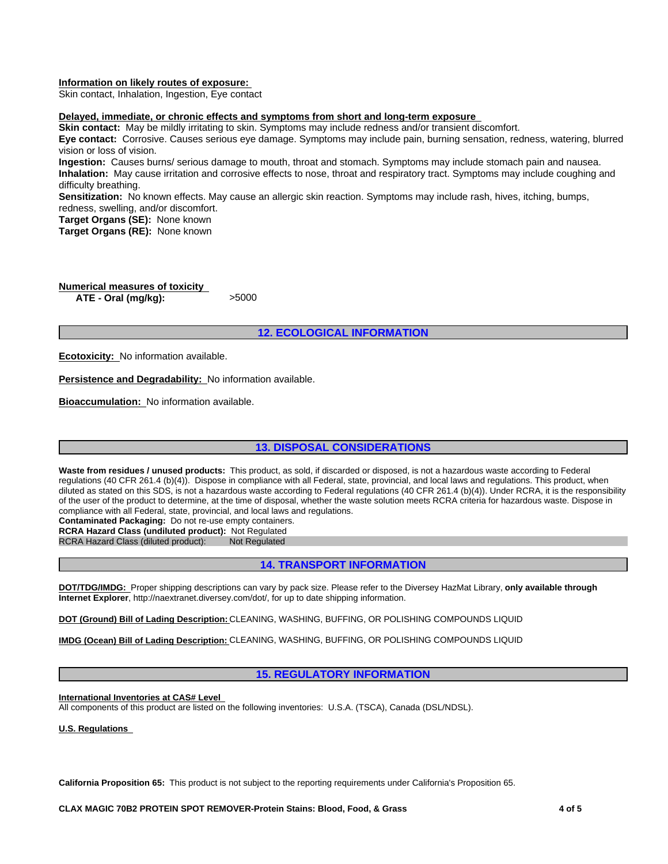#### **Information on likely routes of exposure:**

Skin contact, Inhalation, Ingestion, Eye contact

#### **Delayed, immediate, or chronic effects and symptoms from short and long-term exposure**

**Skin contact:** May be mildly irritating to skin. Symptoms may include redness and/or transient discomfort.

**Eye contact:** Corrosive. Causes serious eye damage. Symptoms may include pain, burning sensation, redness, watering, blurred vision or loss of vision.

**Ingestion:** Causes burns/ serious damage to mouth, throat and stomach. Symptoms may include stomach pain and nausea. **Inhalation:** May cause irritation and corrosive effects to nose, throat and respiratory tract. Symptoms may include coughing and difficulty breathing.

**Sensitization:** No known effects. May cause an allergic skin reaction. Symptoms may include rash, hives, itching, bumps, redness, swelling, and/or discomfort.

**Target Organs (SE):** None known

**Target Organs (RE):** None known

**Numerical measures of toxicity ATE - Oral (mg/kg):** >5000

**12. ECOLOGICAL INFORMATION**

**Ecotoxicity:** No information available.

**Persistence and Degradability:** No information available.

**Bioaccumulation:** No information available.

# **13. DISPOSAL CONSIDERATIONS**

Waste from residues / unused products: This product, as sold, if discarded or disposed, is not a hazardous waste according to Federal regulations (40 CFR 261.4 (b)(4)). Dispose in compliance with all Federal, state, provincial, and local laws and regulations. This product, when diluted as stated on this SDS, is not a hazardous waste according to Federal regulations (40 CFR 261.4 (b)(4)). Under RCRA, it is the responsibility of the user of the product to determine, at the time of disposal, whether the waste solution meets RCRA criteria for hazardous waste. Dispose in compliance with all Federal, state, provincial, and local laws and regulations.

**Contaminated Packaging:** Do not re-use empty containers.

**RCRA Hazard Class (undiluted product):** Not Regulated

RCRA Hazard Class (diluted product):

# **14. TRANSPORT INFORMATION**

**DOT/TDG/IMDG:** Proper shipping descriptions can vary by pack size. Please refer to the Diversey HazMat Library, **only available through Internet Explorer**, http://naextranet.diversey.com/dot/, for up to date shipping information.

**DOT (Ground) Bill of Lading Description:** CLEANING, WASHING, BUFFING, OR POLISHING COMPOUNDS LIQUID

**IMDG (Ocean) Bill of Lading Description:** CLEANING, WASHING, BUFFING, OR POLISHING COMPOUNDS LIQUID

### **15. REGULATORY INFORMATION**

**International Inventories at CAS# Level** 

All components of this product are listed on the following inventories: U.S.A. (TSCA), Canada (DSL/NDSL).

**U.S. Regulations** 

**California Proposition 65:** This product is not subject to the reporting requirements under California's Proposition 65.